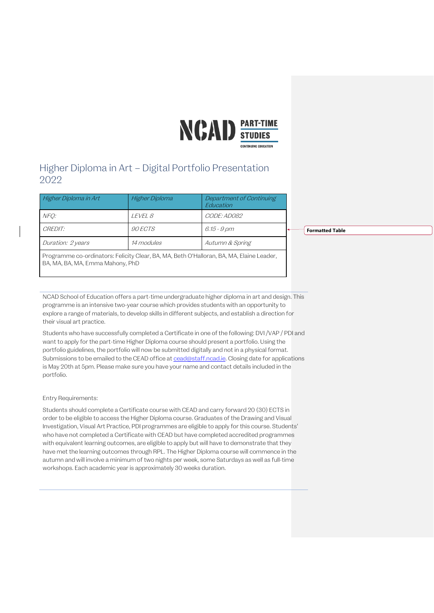

# Higher Diploma in Art – Digital Portfolio Presentation 2022

| Higher Diploma in Art | Higher Diploma    | Department of Continuing<br>Fducation |  |
|-----------------------|-------------------|---------------------------------------|--|
| NFO:                  | I FVFI 8          | CODE: ADO82                           |  |
| <i>CREDIT:</i>        | <i>90 ECTS</i>    | 6.15 - 9 pm                           |  |
| Duration: 2 years     | <i>14 modules</i> | Autumn & Spring                       |  |

**Formatted Table**

NCAD School of Education offers a part-time undergraduate higher diploma in art and design. This programme is an intensive two-year course which provides students with an opportunity to

explore a range of materials, to develop skills in different subjects, and establish a direction for their visual art practice.

Programme co-ordinators: Felicity Clear, BA, MA, Beth O'Halloran, BA, MA, Elaine Leader,

Students who have successfully completed a Certificate in one of the following: DVI /VAP / PDI and want to apply for the part-time Higher Diploma course should present a portfolio. Using the portfolio guidelines, the portfolio will now be submitted digitally and not in a physical format. Submissions to be emailed to the CEAD office a[t cead@staff.ncad.ie.](mailto:cead@staff.ncad.ie) Closing date for applications is May 20th at 5pm. Please make sure you have your name and contact details included in the portfolio.

## Entry Requirements:

BA, MA, BA, MA, Emma Mahony, PhD

Students should complete a Certificate course with CEAD and carry forward 20 (30) ECTS in order to be eligible to access the Higher Diploma course. Graduates of the Drawing and Visual Investigation, Visual Art Practice, PDI programmes are eligible to apply for this course. Students' who have not completed a Certificate with CEAD but have completed accredited programmes with equivalent learning outcomes, are eligible to apply but will have to demonstrate that they have met the learning outcomes through RPL. The Higher Diploma course will commence in the autumn and will involve a minimum of two nights per week, some Saturdays as well as full-time workshops. Each academic year is approximately 30 weeks duration.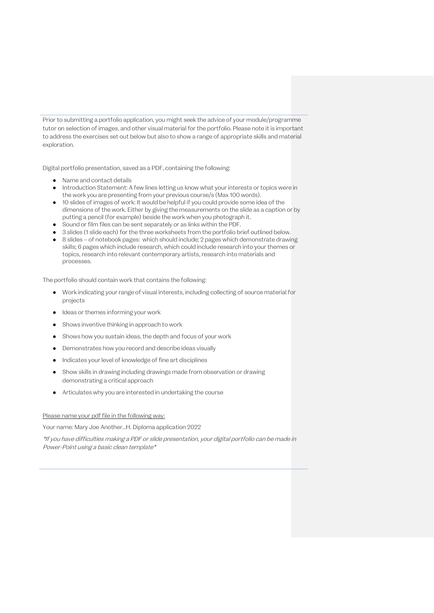Prior to submitting a portfolio application, you might seek the advice of your module/programme tutor on selection of images, and other visual material for the portfolio. Please note it is important to address the exercises set out below but also to show a range of appropriate skills and material exploration.

Digital portfolio presentation, saved as a PDF, containing the following:

- Name and contact details
- Introduction Statement: A few lines letting us know what your interests or topics were in the work you are presenting from your previous course/s (Max 100 words).
- 10 slides of images of work: It would be helpful if you could provide some idea of the dimensions of the work. Either by giving the measurements on the slide as a caption or by putting a pencil (for example) beside the work when you photograph it.
- Sound or film files can be sent separately or as links within the PDF.
- 3 slides (1 slide each) for the three worksheets from the portfolio brief outlined below.
- 8 slides of notebook pages: which should include; 2 pages which demonstrate drawing skills; 6 pages which include research, which could include research into your themes or topics, research into relevant contemporary artists, research into materials and processes.

The portfolio should contain work that contains the following:

- Work indicating your range of visual interests, including collecting of source material for projects
- Ideas or themes informing your work
- Shows inventive thinking in approach to work
- Shows how you sustain ideas, the depth and focus of your work
- Demonstrates how you record and describe ideas visually
- Indicates your level of knowledge of fine art disciplines
- Show skills in drawing including drawings made from observation or drawing demonstrating a critical approach
- Articulates why you are interested in undertaking the course

### Please name your pdf file in the following way:

Your name: Mary Joe Another…H. Diploma application 2022

\*If you have difficulties making a PDF or slide presentation, your digital portfolio can be made in Power-Point using a basic clean template\*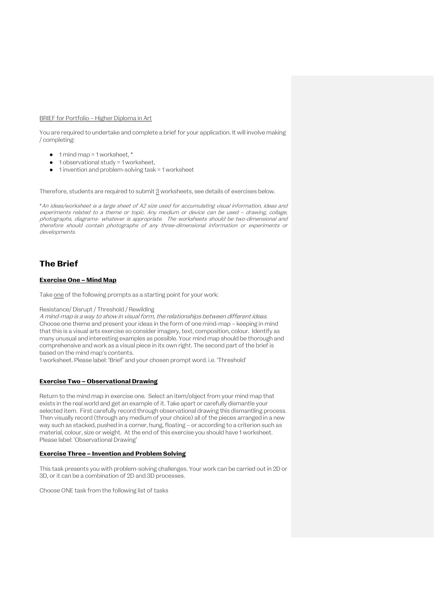#### BRIEF for Portfolio – Higher Diploma in Art

You are required to undertake and complete a brief for your application. It will involve making / completing:

- $\bullet$  1 mind map = 1 worksheet,  $*$
- $\bullet$  1 observational study = 1 worksheet,
- 1 invention and problem-solving task = 1 worksheet

Therefore, students are required to submit  $3$  worksheets, see details of exercises below.</u>

\*An ideas/worksheet is a large sheet of A2 size used for accumulating visual information, ideas and experiments related to a theme or topic. Any medium or device can be used – drawing, collage, photographs, diagrams- whatever is appropriate. The worksheets should be two-dimensional and therefore should contain photographs of any three-dimensional information or experiments or developments.

# **The Brief**

### **Exercise One – Mind Map**

Take one of the following prompts as a starting point for your work:

### Resistance/ Disrupt / Threshold / Rewilding

A mind-map is a way to show in visual form, the relationships between different ideas. Choose one theme and present your ideas in the form of one mind-map – keeping in mind that this is a visual arts exercise so consider imagery, text, composition, colour. Identify as many unusual and interesting examples as possible. Your mind map should be thorough and comprehensive and work as a visual piece in its own right. The second part of the brief is based on the mind map's contents.

1 worksheet. Please label: 'Brief' and your chosen prompt word. i.e. 'Threshold'

## **Exercise Two – Observational Drawing**

Return to the mind map in exercise one. Select an item/object from your mind map that exists in the real world and get an example of it. Take apart or carefully dismantle your selected item. First carefully record through observational drawing this dismantling process. Then visually record (through any medium of your choice) all of the pieces arranged in a new way such as stacked, pushed in a corner, hung, floating – or according to a criterion such as material, colour, size or weight. At the end of this exercise you should have 1 worksheet. Please label: 'Observational Drawing'

### **Exercise Three – Invention and Problem Solving**

This task presents you with problem-solving challenges. Your work can be carried out in 2D or 3D, or it can be a combination of 2D and 3D processes.

Choose ONE task from the following list of tasks